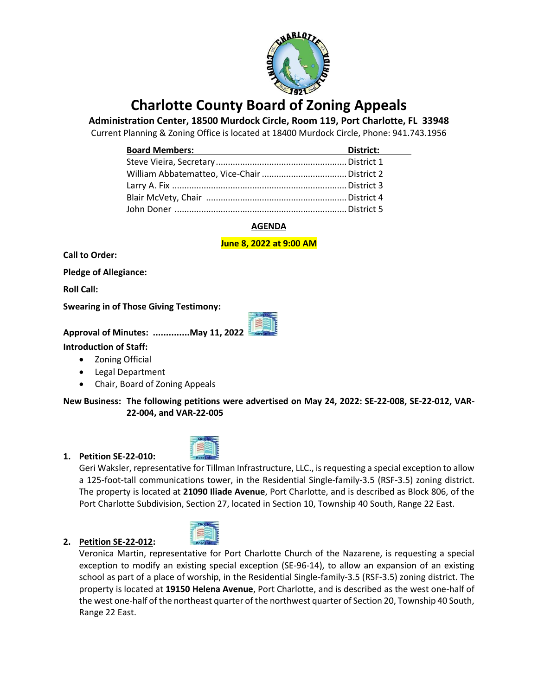

# **Charlotte County Board of Zoning Appeals**

**Administration Center, 18500 Murdock Circle, Room 119, Port Charlotte, FL 33948**

Current Planning & Zoning Office is located at 18400 Murdock Circle, Phone: 941.743.1956

| <b>Board Members:</b><br><u> 1989 - Johann Barbara, martxa alemaniar a</u> | District: |
|----------------------------------------------------------------------------|-----------|
|                                                                            |           |
|                                                                            |           |
|                                                                            |           |
|                                                                            |           |
|                                                                            |           |

# **AGENDA**

**June 8, 2022 at 9:00 AM**

**Call to Order:**

**Pledge of Allegiance:** 

**Roll Call:**

**Swearing in of Those Giving Testimony:**

**Approval of Minutes: ..............May 11, 2022**

**Introduction of Staff:**

- Zoning Official
- Legal Department
- Chair, Board of Zoning Appeals

**New Business: The following petitions were advertised on May 24, 2022: SE-22-008, SE-22-012, VAR-22-004, and VAR-22-005**

## **1. Petition SE-22-010:**



Geri Waksler, representative for Tillman Infrastructure, LLC., is requesting a special exception to allow a 125-foot-tall communications tower, in the Residential Single-family-3.5 (RSF-3.5) zoning district. The property is located at **21090 Iliade Avenue**, Port Charlotte, and is described as Block 806, of the Port Charlotte Subdivision, Section 27, located in Section 10, Township 40 South, Range 22 East.

# **2. Petition SE-22-012:**

Veronica Martin, representative for Port Charlotte Church of the Nazarene, is requesting a special exception to modify an existing special exception (SE-96-14), to allow an expansion of an existing school as part of a place of worship, in the Residential Single-family-3.5 (RSF-3.5) zoning district. The property is located at **19150 Helena Avenue**, Port Charlotte, and is described as the west one-half of the west one-half of the northeast quarter of the northwest quarter of Section 20, Township 40 South, Range 22 East.